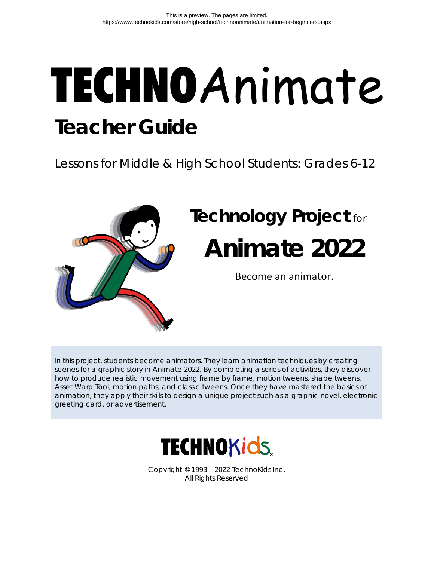# TECHNOAnimate **Teacher Guide**

Lessons for Middle & High School Students: Grades 6-12



In this project, students become animators. They learn animation techniques by creating scenes for a graphic story in Animate 2022. By completing a series of activities, they discover how to produce realistic movement using frame by frame, motion tweens, shape tweens, Asset Warp Tool, motion paths, and classic tweens. Once they have mastered the basics of animation, they apply their skills to design a unique project such as a graphic novel, electronic greeting card, or advertisement.



Copyright © 1993 – 2022 TechnoKids Inc. All Rights Reserved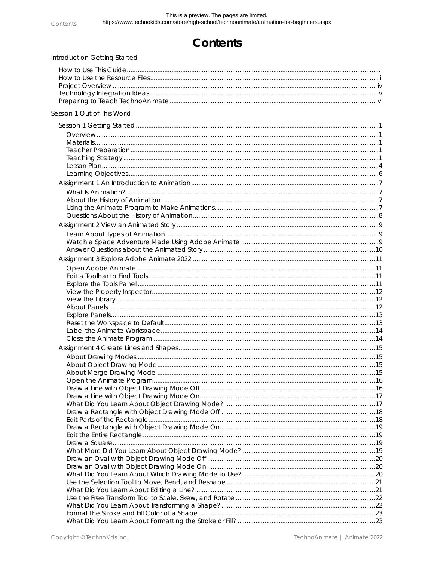## Contents

| Introduction Getting Started |  |
|------------------------------|--|
|                              |  |
|                              |  |
|                              |  |
|                              |  |
|                              |  |
| Session 1 Out of This World  |  |
|                              |  |
|                              |  |
|                              |  |
|                              |  |
|                              |  |
|                              |  |
|                              |  |
|                              |  |
|                              |  |
|                              |  |
|                              |  |
|                              |  |
|                              |  |
|                              |  |
|                              |  |
|                              |  |
|                              |  |
|                              |  |
|                              |  |
|                              |  |
|                              |  |
|                              |  |
|                              |  |
|                              |  |
|                              |  |
|                              |  |
|                              |  |
|                              |  |
|                              |  |
|                              |  |
|                              |  |
|                              |  |
|                              |  |
|                              |  |
|                              |  |
|                              |  |
|                              |  |
|                              |  |
|                              |  |
|                              |  |
|                              |  |
|                              |  |
|                              |  |
|                              |  |
|                              |  |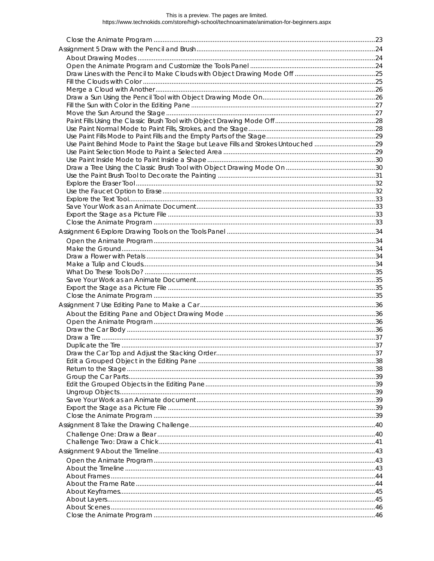# This is a preview. The pages are limited.<br>https://www.technokids.com/store/high-school/technoanimate/animation-for-beginners.aspx

| Use Paint Behind Mode to Paint the Stage but Leave Fills and Strokes Untouched 29 |  |
|-----------------------------------------------------------------------------------|--|
|                                                                                   |  |
|                                                                                   |  |
|                                                                                   |  |
|                                                                                   |  |
|                                                                                   |  |
|                                                                                   |  |
|                                                                                   |  |
|                                                                                   |  |
|                                                                                   |  |
|                                                                                   |  |
|                                                                                   |  |
|                                                                                   |  |
|                                                                                   |  |
|                                                                                   |  |
|                                                                                   |  |
|                                                                                   |  |
|                                                                                   |  |
|                                                                                   |  |
|                                                                                   |  |
|                                                                                   |  |
|                                                                                   |  |
|                                                                                   |  |
|                                                                                   |  |
|                                                                                   |  |
|                                                                                   |  |
|                                                                                   |  |
|                                                                                   |  |
|                                                                                   |  |
|                                                                                   |  |
|                                                                                   |  |
|                                                                                   |  |
|                                                                                   |  |
|                                                                                   |  |
|                                                                                   |  |
|                                                                                   |  |
|                                                                                   |  |
|                                                                                   |  |
|                                                                                   |  |
|                                                                                   |  |
|                                                                                   |  |
|                                                                                   |  |
|                                                                                   |  |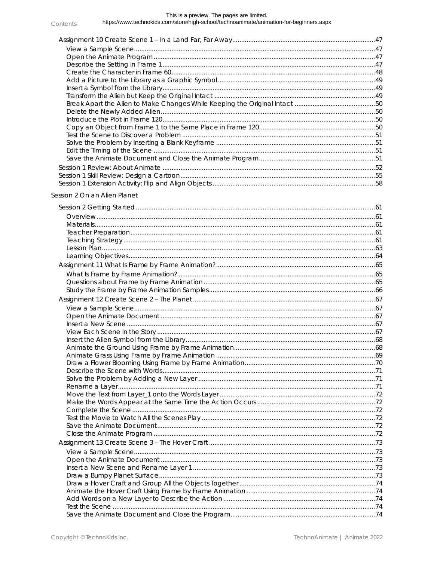#### This is a preview. The pages are limited. https://www.technokids.com/store/high-school/technoanimate/animation-for-beginners.aspx

### Session 2 On an Alien Planet

Contents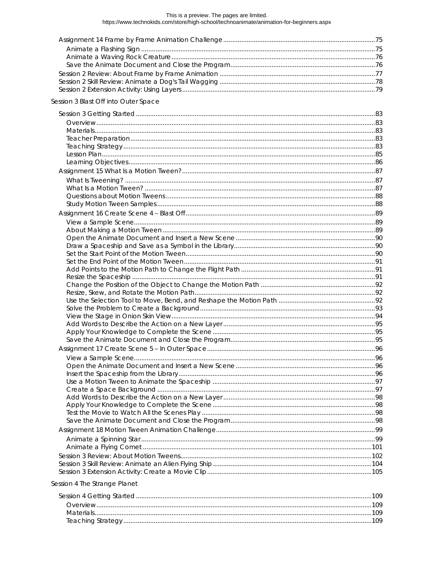# This is a preview. The pages are limited.<br>https://www.technokids.com/store/high-school/technoanimate/animation-for-beginners.aspx

| Materials. |  |
|------------|--|
|            |  |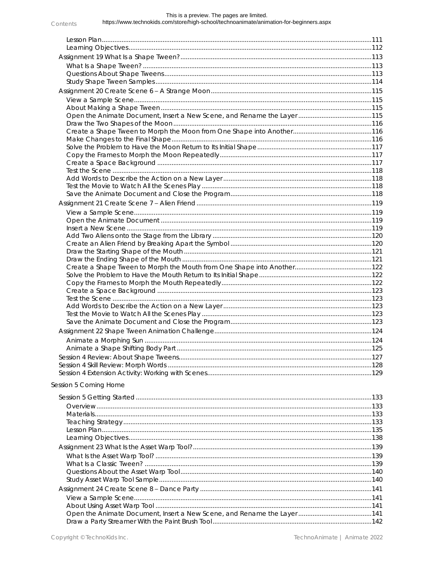#### This is a preview. The pages are limited. https://www.technokids.com/store/high-school/technoanimate/animation-for-beginners.aspx Contents

| Open the Animate Document, Insert a New Scene, and Rename the Layer 115 |  |
|-------------------------------------------------------------------------|--|
|                                                                         |  |
|                                                                         |  |
|                                                                         |  |
|                                                                         |  |
|                                                                         |  |
|                                                                         |  |
|                                                                         |  |
|                                                                         |  |
|                                                                         |  |
|                                                                         |  |
|                                                                         |  |
|                                                                         |  |
|                                                                         |  |
|                                                                         |  |
|                                                                         |  |
|                                                                         |  |
|                                                                         |  |
|                                                                         |  |
|                                                                         |  |
|                                                                         |  |
|                                                                         |  |
|                                                                         |  |
|                                                                         |  |
|                                                                         |  |
|                                                                         |  |
|                                                                         |  |
|                                                                         |  |
|                                                                         |  |
|                                                                         |  |
| Session 5 Coming Home                                                   |  |
|                                                                         |  |
|                                                                         |  |
|                                                                         |  |
|                                                                         |  |
|                                                                         |  |
|                                                                         |  |
|                                                                         |  |
|                                                                         |  |
|                                                                         |  |
|                                                                         |  |
|                                                                         |  |
|                                                                         |  |
|                                                                         |  |
|                                                                         |  |
|                                                                         |  |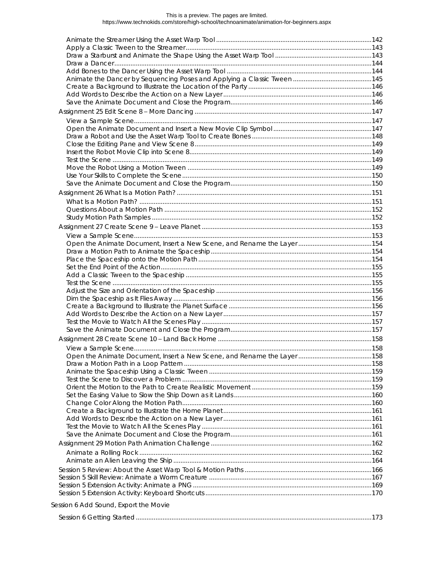# This is a preview. The pages are limited.<br>https://www.technokids.com/store/high-school/technoanimate/animation-for-beginners.aspx

| Session 6 Add Sound, Export the Movie |  |
|---------------------------------------|--|
|                                       |  |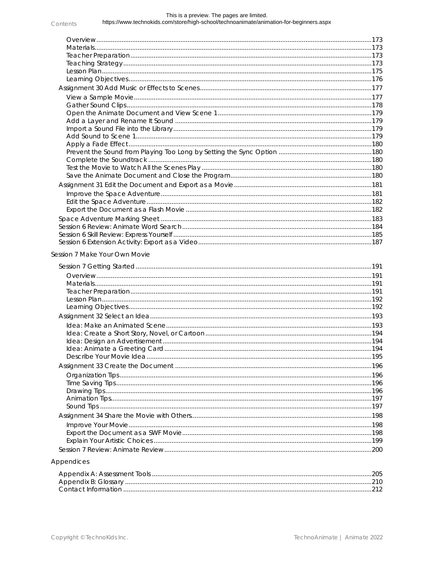#### This is a preview. The pages are limited. https://www.technokids.com/store/high-school/technoanimate/animation-for-beginners.aspx Contents

| Session 7 Make Your Own Movie |  |
|-------------------------------|--|
|                               |  |
|                               |  |
|                               |  |
|                               |  |
|                               |  |

## Appendices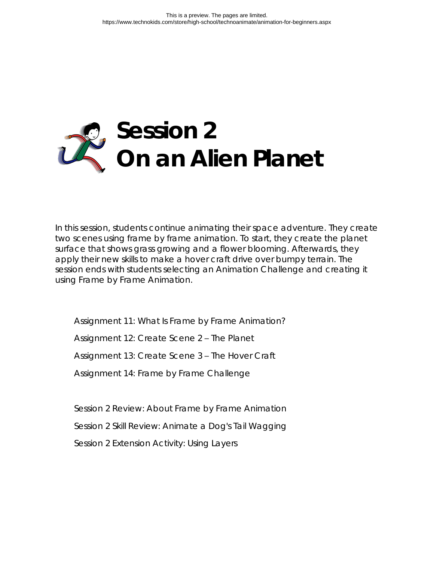

In this session, students continue animating their space adventure. They create two scenes using frame by frame animation. To start, they create the planet surface that shows grass growing and a flower blooming. Afterwards, they apply their new skills to make a hover craft drive over bumpy terrain. The session ends with students selecting an Animation Challenge and creating it using Frame by Frame Animation.

Assignment 11: What Is Frame by Frame Animation?

Assignment 12: Create Scene 2 – The Planet

Assignment 13: Create Scene 3 – The Hover Craft

Assignment 14: Frame by Frame Challenge

Session 2 Review: About Frame by Frame Animation

Session 2 Skill Review: Animate a Dog's Tail Wagging

Session 2 Extension Activity: Using Layers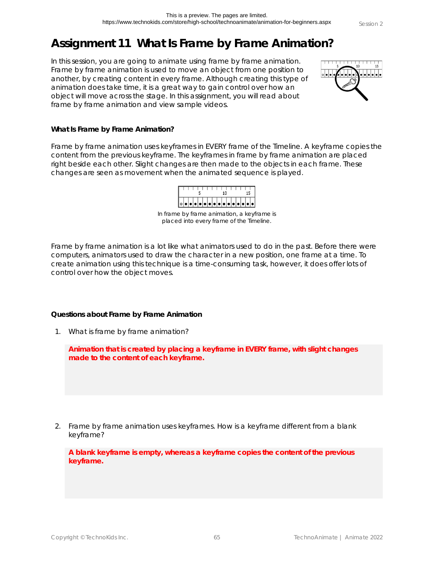## **Assignment 11 What Is Frame by Frame Animation?**

In this session, you are going to animate using frame by frame animation. Frame by frame animation is used to move an object from one position to another, by creating content in every frame. Although creating this type of animation does take time, it is a great way to gain control over how an object will move across the stage. In this assignment, you will read about frame by frame animation and view sample videos.



**What Is Frame by Frame Animation?**

Frame by frame animation uses keyframes in EVERY frame of the Timeline. A keyframe copies the content from the previous keyframe. The keyframes in frame by frame animation are placed right beside each other. Slight changes are then made to the objects in each frame. These changes are seen as movement when the animated sequence is played.



In frame by frame animation, a keyframe is placed into every frame of the Timeline.

Frame by frame animation is a lot like what animators used to do in the past. Before there were computers, animators used to draw the character in a new position, one frame at a time. To create animation using this technique is a time-consuming task, however, it does offer lots of control over how the object moves.

**Questions about Frame by Frame Animation**

1. What is frame by frame animation?

**Animation that is created by placing a keyframe in EVERY frame, with slight changes made to the content of each keyframe.**

2. Frame by frame animation uses keyframes. How is a keyframe different from a blank keyframe?

**A blank keyframe is empty, whereas a keyframe copies the content of the previous keyframe.**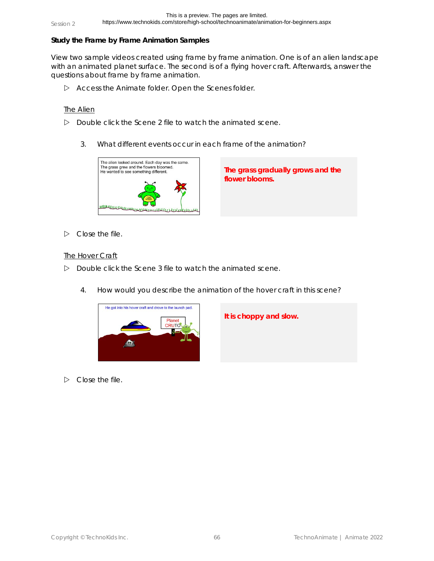**Study the Frame by Frame Animation Samples**

View two sample videos created using frame by frame animation. One is of an alien landscape with an animated planet surface. The second is of a flying hover craft. Afterwards, answer the questions about frame by frame animation.

Access the *Animate* folder. Open the *Scenes* folder.

### The Alien

- Double click the *Scene 2* file to watch the animated scene.
	- 3. What different events occur in each frame of the animation?



**The grass gradually grows and the flower blooms.**

 $\triangleright$  Close the file.

### The Hover Craft

- Double click the *Scene 3* file to watch the animated scene.
	- 4. How would you describe the animation of the hover craft in this scene?



**It is choppy and slow.**

 $\triangleright$  Close the file.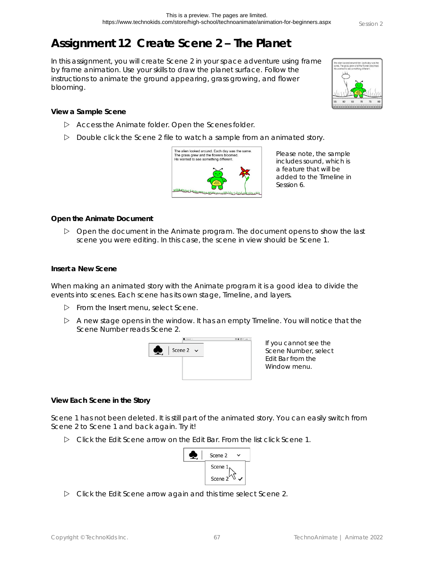## **Assignment 12 Create Scene 2 – The Planet**

In this assignment, you will create Scene 2 in your space adventure using frame by frame animation. Use your skills to draw the planet surface. Follow the instructions to animate the ground appearing, grass growing, and flower blooming.



**View a Sample Scene**

- Access the *Animate* folder. Open the *Scenes* folder.
- Double click the *Scene 2* file to watch a sample from an animated story.



Please note, the sample includes sound, which is a feature that will be added to the Timeline in Session 6.

**Open the Animate Document**

 $\triangleright$  Open the document in the Animate program. The document opens to show the last scene you were editing. In this case, the scene in view should be Scene 1.

**Insert a New Scene**

When making an animated story with the Animate program it is a good idea to divide the events into scenes. Each scene has its own stage, Timeline, and layers.

- From the Insert menu, select *Scene*.
- $\triangleright$  A new stage opens in the window. It has an empty Timeline. You will notice that the Scene Number reads Scene 2.



If you cannot see the Scene Number, select *Edit Bar* from the Window menu.

**View Each Scene in the Story**

Scene 1 has not been deleted. It is still part of the animated story. You can easily switch from Scene 2 to Scene 1 and back again. Try it!

Click the *Edit Scene* arrow on the Edit Bar. From the list click *Scene 1*.



Click the *Edit Scene* arrow again and this time select *Scene 2*.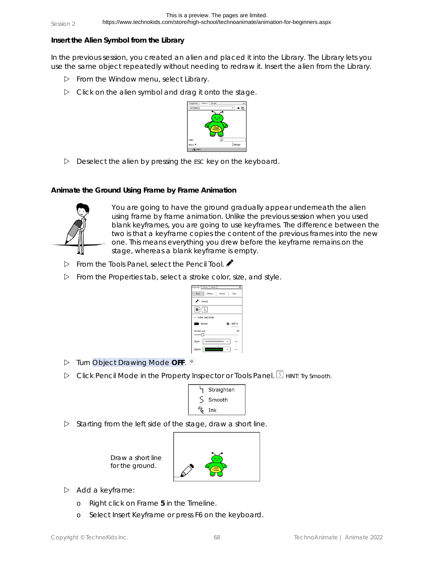**Insert the Alien Symbol from the Library**

In the previous session, you created an alien and placed it into the Library. The Library lets you use the same object repeatedly without needing to redraw it. Insert the alien from the Library.

- From the Window menu, select *Library*.
- $\triangleright$  Click on the alien symbol and drag it onto the stage.



 $\triangleright$  Deselect the alien by pressing the ESC key on the keyboard.

**Animate the Ground Using Frame by Frame Animation**



You are going to have the ground gradually appear underneath the alien using frame by frame animation. Unlike the previous session when you used blank keyframes, you are going to use keyframes. The difference between the two is that a keyframe copies the content of the previous frames into the new one. This means everything you drew before the keyframe remains on the stage, whereas a blank keyframe is empty.

- From the Tools Panel, select the *Pencil Tool*.
- From the *Properties* tab, select a stroke color, size, and style.

| reperties Library Assets                    |       |               |
|---------------------------------------------|-------|---------------|
| Tool<br>Object                              | Frame | $\sim$<br>Doc |
| Pencil                                      |       |               |
| $\left  \bullet \right $ $\left  5 \right $ |       |               |
|                                             |       |               |
| $\vee$ Color and Style                      |       |               |
| Stroke                                      |       | 82 100 %      |
| Stroke size                                 |       | 20            |
| Style:                                      |       |               |

- **▷** Turn Object Drawing Mode OFF.
- Click *Pencil Mode* in the Property Inspector or Tools Panel. HINT: Try Smooth.

| Straighten |
|------------|
| Smooth     |
| $\%$ Ink   |

 $\triangleright$  Starting from the left side of the stage, draw a short line.



- $\triangleright$  Add a keyframe:
	- o Right click on Frame **5** in the Timeline.

Draw a short line for the ground.

o Select *Insert Keyframe* or press F6 on the keyboard.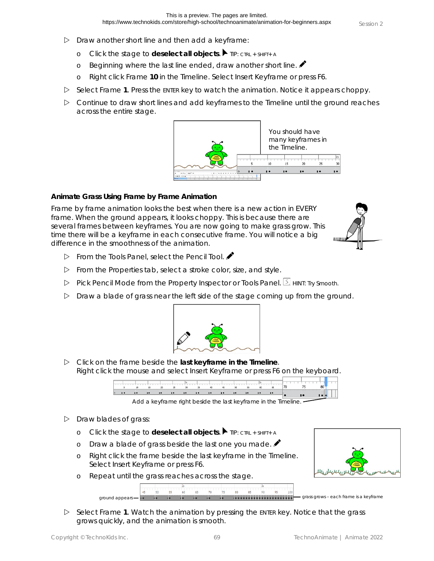- $\triangleright$  Draw another short line and then add a keyframe:
	- o Click the stage to **deselect all objects**. TIP: CTRL + SHIFT+ <sup>A</sup>
	- o Beginning where the last line ended, draw another short line.
	- o Right click Frame **10** in the Timeline. Select *Insert Keyframe* or press F6.
- $\triangleright$  Select Frame 1. Press the ENTER key to watch the animation. Notice it appears choppy.
- $\triangleright$  Continue to draw short lines and add keyframes to the Timeline until the ground reaches across the entire stage.



**Animate Grass Using Frame by Frame Animation**

Frame by frame animation looks the best when there is a new action in EVERY frame. When the ground appears, it looks choppy. This is because there are several frames between keyframes. You are now going to make grass grow. This time there will be a keyframe in each consecutive frame. You will notice a big difference in the smoothness of the animation.



- From the Tools Panel, select the *Pencil Tool*.
- From the *Properties* tab, select a stroke color, size, and style.
- Pick Pencil Mode from the Property Inspector or Tools Panel. **5** HINT: Try Smooth.
- $\triangleright$  Draw a blade of grass near the left side of the stage coming up from the ground.



 Click on the frame beside the **last keyframe in the Timeline**. Right click the mouse and select *Insert Keyframe* or press F6 on the keyboard.

|                              | <b>10 10 10 10 10 10</b> |  |  | $\blacksquare$ |  |  |  |  |
|------------------------------|--------------------------|--|--|----------------|--|--|--|--|
| 5 10 15 20 25 30 35 40 45 50 |                          |  |  |                |  |  |  |  |
|                              |                          |  |  |                |  |  |  |  |

Add a keyframe right beside the last keyframe in the Timeline.

- $\triangleright$  Draw blades of grass:
	- o Click the stage to **deselect all objects**. TIP: CTRL + SHIFT+ <sup>A</sup>
	- o Draw a blade of grass beside the last one you made.
	- o Right click the frame beside the last keyframe in the Timeline. Select *Insert Keyframe* or press F6.
	- o Repeat until the grass reaches across the stage.

 $50$   $55$ 



 $\triangleright$  Select Frame 1. Watch the animation by pressing the ENTER key. Notice that the grass grows quickly, and the animation is smooth.

60 65 70 75 80 85 90

 $\alpha$ round appears  $\overline{\phantom{a}}$  is  $\alpha$  is  $\alpha$  is a keyframe is a keyframe is a keyframe is a keyframe is a keyframe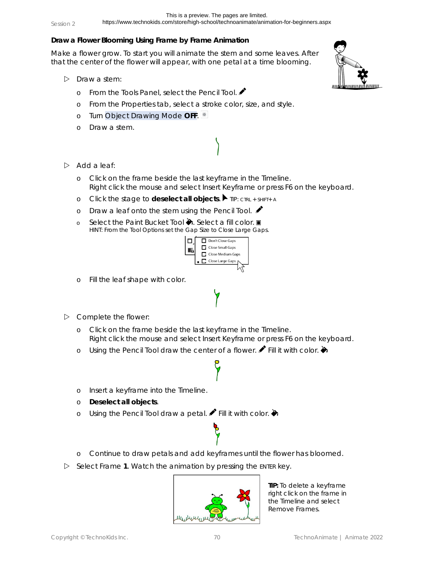## **Draw a Flower Blooming Using Frame by Frame Animation**

Make a flower grow. To start you will animate the stem and some leaves. After that the center of the flower will appear, with one petal at a time blooming.

- $\triangleright$  Draw a stem:
	- o From the Tools Panel, select the *Pencil Tool*.
	- o From the *Properties* tab, select a stroke color, size, and style.
	- o Turn Object Drawing Mode **OFF**.
	- o Draw a stem.



- $\triangleright$  Add a leaf:
	- o Click on the frame beside the last keyframe in the Timeline. Right click the mouse and select *Insert Keyframe* or press F6 on the keyboard.
	- o Click the stage to **deselect all objects**. TIP: CTRL + SHIFT+ <sup>A</sup>
	- o Draw a leaf onto the stem using the *Pencil Tool*.
	- o Select the Paint Bucket Tool ♦. Select a fill color. HINT: From the Tool Options set the Gap Size to *Close Large Gaps*.



- o Fill the leaf shape with color.
- $\triangleright$  Complete the flower:
	- o Click on the frame beside the last keyframe in the Timeline. Right click the mouse and select *Insert Keyframe* or press F6 on the keyboard.
	- o Using the Pencil Tool draw the center of a flower. **P** Fill it with color.  $\blacklozenge$
	- o Insert a keyframe into the Timeline.
	- o **Deselect all objects**.
	- o Using the *Pencil Tool* draw a petal.  $\blacktriangleright$  Fill it with color.  $\blacklozenge$
	- o Continue to draw petals and add keyframes until the flower has bloomed.
- Select Frame 1. Watch the animation by pressing the ENTER key.



**TIP:** To delete a keyframe right click on the frame in the Timeline and select *Remove Frames*.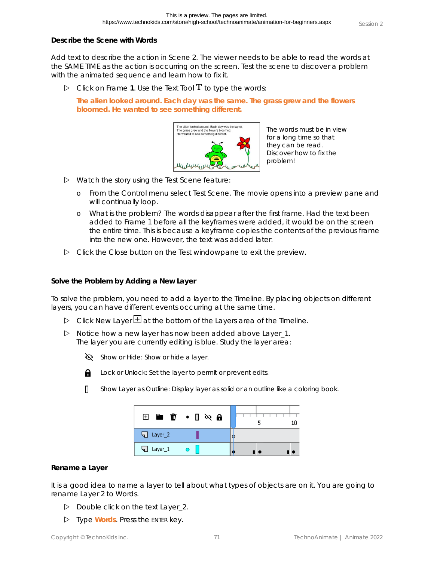**Describe the Scene with Words**

Add text to describe the action in Scene 2. The viewer needs to be able to read the words at the SAME TIME as the action is occurring on the screen. Test the scene to discover a problem with the animated sequence and learn how to fix it.

 $\triangleright$  Click on Frame 1. Use the *Text Tool* **T** to type the words:

**The alien looked around. Each day was the same. The grass grew and the flowers bloomed. He wanted to see something different.**



The words must be in view for a long time so that they can be read. Discover how to fix the problem!

- $\triangleright$  Watch the story using the Test Scene feature:
	- o From the Control menu select *Test Scene*. The movie opens into a preview pane and will continually loop.
	- o *What is the problem?* The words disappear after the first frame. Had the text been added to Frame 1 before all the keyframes were added, it would be on the screen the entire time. This is because a keyframe copies the contents of the previous frame into the new one. However, the text was added later.
- Click the *Close* button on the Test windowpane to exit the preview.

**Solve the Problem by Adding a New Layer**

To solve the problem, you need to add a layer to the Timeline. By placing objects on different layers, you can have different events occurring at the same time.

- $\triangleright$  Click New Layer  $\pm$  at the bottom of the Layers area of the Timeline.
- $\triangleright$  Notice how a new layer has now been added above Layer\_1. The layer you are currently editing is blue. Study the layer area:
	- $\bigotimes$  Show or Hide: Show or hide a layer.



- Lock or Unlock: Set the layer to permit or prevent edits.
- Show Layer as Outline: Display layer as solid or an outline like a coloring book. П.

|                | $\boxplus$ $\blacksquare$ $\blacksquare$ $\blacksquare$ $\blacksquare$ $\blacksquare$ $\blacksquare$ |     |
|----------------|------------------------------------------------------------------------------------------------------|-----|
| Layer_2<br>91  |                                                                                                      | О   |
| Layer_1<br>त । |                                                                                                      | -10 |

### **Rename a Layer**

It is a good idea to name a layer to tell about what types of objects are on it. You are going to rename Layer 2 to *Words*.

- Double click on the text *Layer\_2*.
- Type **Words**. Press the ENTER key.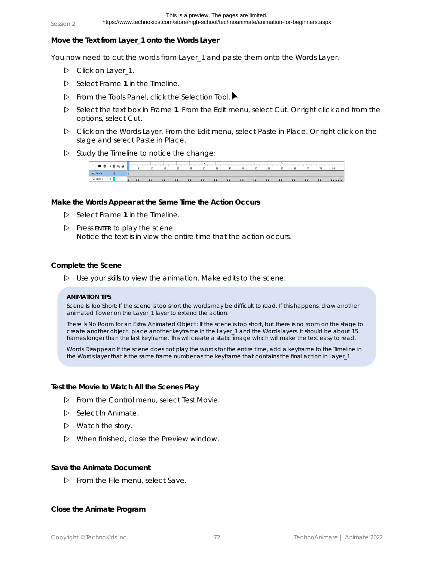https://www.technokids.com/store/high-school/technoanimate/animation-for-beginners.aspx

**Move the Text from Layer\_1 onto the Words Layer**

You now need to cut the words from Layer\_1 and paste them onto the *Words* Layer.

- Click on *Layer\_1*.
- Select Frame **1** in the Timeline.
- From the Tools Panel, click the *Selection Tool*.
- Select the text box in Frame **1**. From the Edit menu, select *Cut*. Or right click and from the options, select *Cut*.
- Click on the *Words* Layer. From the Edit menu, select *Paste in Place*. Or right click on the stage and select *Paste in Place*.
- $\triangleright$  Study the Timeline to notice the change:



**Make the Words Appear at the Same Time the Action Occurs**

- $\triangleright$  Select Frame 1 in the Timeline.
- $\triangleright$  Press ENTER to play the scene. Notice the text is in view the entire time that the action occurs.

#### **Complete the Scene**

 $\triangleright$  Use your skills to view the animation. Make edits to the scene.

#### **ANIMATION TIPS**

*Scene Is Too Short*: If the scene is too short the words may be difficult to read. If this happens, draw another animated flower on the Layer\_1 layer to extend the action.

*There Is No Room for an Extra Animated Object*: If the scene is too short, but there is no room on the stage to create another object, place another keyframe in the Layer\_1 and the Words layers. It should be about 15 frames longer than the last keyframe. This will create a static image which will make the text easy to read.

*Words Disappear*: If the scene does not play the words for the entire time, add a keyframe to the Timeline in the Words layer that is the same frame number as the keyframe that contains the final action in Layer\_1.

**Test the Movie to Watch All the Scenes Play**

- From the Control menu, select *Test Movie*.
- Select *In Animate*.
- $\triangleright$  Watch the story.
- $\triangleright$  When finished, close the Preview window.

#### **Save the Animate Document**

From the File menu, select *Save*.

**Close the Animate Program**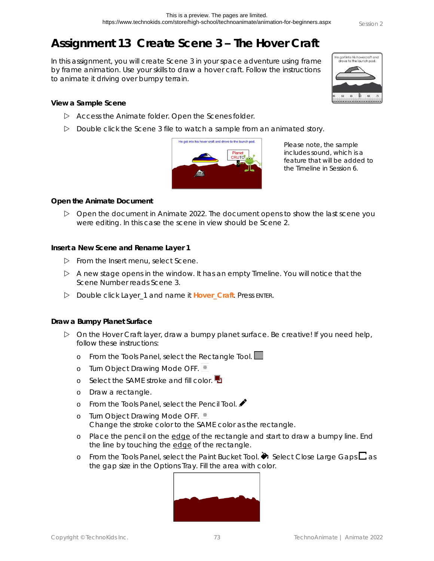## **Assignment 13 Create Scene 3 – The Hover Craft**

In this assignment, you will create Scene 3 in your space adventure using frame by frame animation. Use your skills to draw a hover craft. Follow the instructions to animate it driving over bumpy terrain.

**View a Sample Scene**

- Access the *Animate* folder. Open the *Scenes* folder.
- Double click the *Scene 3* file to watch a sample from an animated story.



Please note, the sample includes sound, which is a feature that will be added to the Timeline in Session 6.

**Open the Animate Document**

 $\triangleright$  Open the document in Animate 2022. The document opens to show the last scene you were editing. In this case the scene in view should be Scene 2.

**Insert a New Scene and Rename Layer 1**

- From the Insert menu, select *Scene*.
- $\triangleright$  A new stage opens in the window. It has an empty Timeline. You will notice that the Scene Number reads Scene 3.
- Double click Layer\_1 and name it **Hover\_Craft**. Press ENTER.

**Draw a Bumpy Planet Surface**

- $\triangleright$  On the Hover Craft layer, draw a bumpy planet surface. Be creative! If you need help, follow these instructions:
	- o From the Tools Panel, select the *Rectangle Tool*.
	- o Turn Object Drawing Mode OFF.
	- o Select the SAME stroke and fill color.  $\blacksquare$
	- o Draw a rectangle.
	- o From the Tools Panel, select the *Pencil Tool*.
	- o Turn Object Drawing Mode OFF. Change the stroke color to the SAME color as the rectangle.
	- o Place the pencil on the edge of the rectangle and start to draw a bumpy line. End the line by touching the edge of the rectangle.
	- o From the Tools Panel, select the Paint Bucket *Tool*. ♦ Select *Close Large Gaps*  $\square$  as the gap size in the Options Tray. Fill the area with color.



le got into his hovercraft and<br>drove to the launch pad.

為 65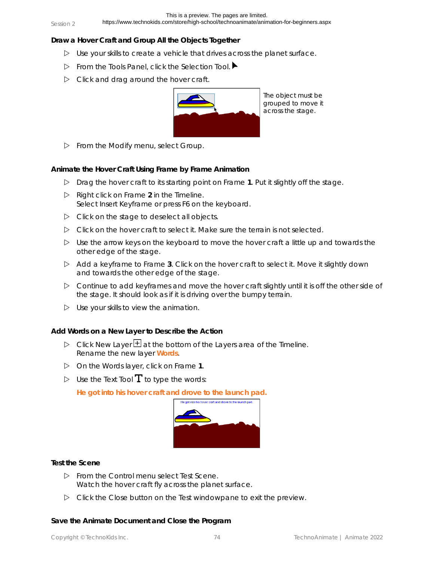https://www.technokids.com/store/high-school/technoanimate/animation-for-beginners.aspx

**Draw a Hover Craft and Group All the Objects Together**

- $\triangleright$  Use your skills to create a vehicle that drives across the planet surface.
- From the Tools Panel, click the *Selection Tool*.
- $\triangleright$  Click and drag around the hover craft.



From the Modify menu, select *Group*.

**Animate the Hover Craft Using Frame by Frame Animation**

- Drag the hover craft to its starting point on Frame **1**. Put it slightly off the stage.
- Right click on Frame **2** in the Timeline. Select *Insert Keyframe* or press F6 on the keyboard.
- $\triangleright$  Click on the stage to deselect all objects.
- $\triangleright$  Click on the hover craft to select it. Make sure the terrain is not selected.
- $\triangleright$  Use the arrow keys on the keyboard to move the hover craft a little up and towards the other edge of the stage.
- Add a keyframe to Frame **3**. Click on the hover craft to select it. Move it slightly down and towards the other edge of the stage.
- $\triangleright$  Continue to add keyframes and move the hover craft slightly until it is off the other side of the stage. It should look as if it is driving over the bumpy terrain.
- $\triangleright$  Use your skills to view the animation.

**Add Words on a New Layer to Describe the Action**

- $\triangleright$  Click New Layer  $\pm$  at the bottom of the Layers area of the Timeline. Rename the new layer **Words**.
- On the Words layer, click on Frame **1**.
- $\triangleright$  Use the *Text Tool*  $\mathbf T$  to type the words:

**He got into his hover craft and drove to the launch pad.**



**Test the Scene**

- From the Control menu select *Test Scene*. Watch the hover craft fly across the planet surface.
- Click the *Close* button on the Test windowpane to exit the preview.

**Save the Animate Document and Close the Program**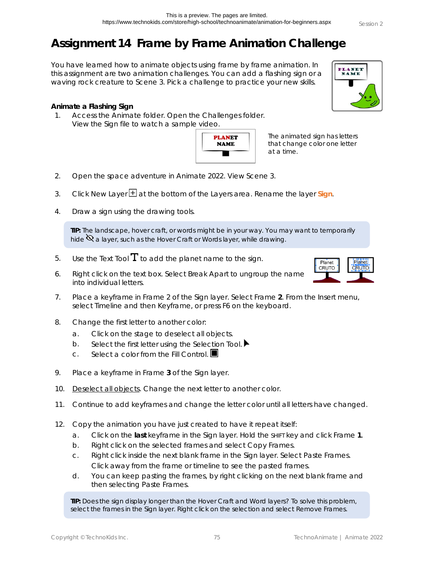**PLANET**<br>NAME

## **Assignment 14 Frame by Frame Animation Challenge**

You have learned how to animate objects using frame by frame animation. In this assignment are two animation challenges. You can add a flashing sign or a waving rock creature to Scene 3. Pick a challenge to practice your new skills.

**Animate a Flashing Sign**

1. Access the *Animate* folder. Open the *Challenges* folder. View the *Sign* file to watch a sample video.



The animated sign has letters that change color one letter at a time.

- 2. Open the space adventure in Animate 2022. View Scene 3.
- 3. Click New Layer **H** at the bottom of the Layers area. Rename the layer Sign.
- 4. Draw a sign using the drawing tools.

**TIP:** The landscape, hover craft, or words might be in your way. You may want to temporarily hide  $\mathbb Q$  a layer, such as the Hover Craft or Words layer, while drawing.

- 5. Use the *Text Tool*  $\mathbf T$  to add the planet name to the sign.
- 6. Right click on the text box. Select *Break Apart* to ungroup the name into individual letters.
- 7. Place a keyframe in Frame 2 of the Sign layer. Select Frame **2**. From the Insert menu, select *Timeline* and then *Keyframe*, or press F6 on the keyboard.
- 8. Change the first letter to another color:
	- a. Click on the stage to deselect all objects.
	- b. Select the first letter using the *Selection Tool*.
	- c. Select a color from the *Fill Control*.
- 9. Place a keyframe in Frame **3** of the Sign layer.
- 10. Deselect all objects. Change the next letter to another color.
- 11. Continue to add keyframes and change the letter color until all letters have changed.
- 12. Copy the animation you have just created to have it repeat itself:
	- a. Click on the **last** keyframe in the Sign layer. Hold the SHIFT key and click Frame **1**.
	- b. Right click on the selected frames and select *Copy Frames*.
	- c. Right click inside the next blank frame in the Sign layer. Select *Paste Frames*. Click away from the frame or timeline to see the pasted frames.
	- d. You can keep pasting the frames, by right clicking on the next blank frame and then selecting *Paste Frames*.

**TIP:** Does the sign display longer than the Hover Craft and Word layers? To solve this problem, select the frames in the Sign layer. Right click on the selection and select *Remove Frames*.

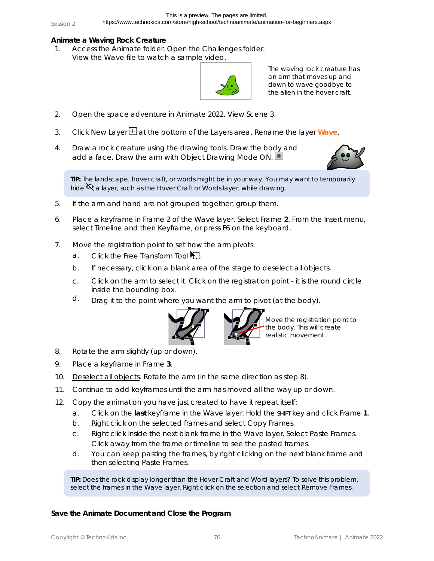## **Animate a Waving Rock Creature**

1. Access the *Animate* folder. Open the *Challenges* folder. View the *Wave* file to watch a sample video.



The waving rock creature has an arm that moves up and down to wave goodbye to the alien in the hover craft.

- 2. Open the space adventure in Animate 2022. View Scene 3.
- 3. Click New Layer **H** at the bottom of the Layers area. Rename the layer Wave.
- 4. Draw a rock creature using the drawing tools. Draw the body and add a face. Draw the arm with Object Drawing Mode ON.



**TIP:** The landscape, hover craft, or words might be in your way. You may want to temporarily hide  $\mathbb Q$  a layer, such as the Hover Craft or Words layer, while drawing.

- 5. If the arm and hand are not grouped together, group them.
- 6. Place a keyframe in Frame 2 of the Wave layer. Select Frame **2**. From the Insert menu, select *Timeline* and then *Keyframe*, or press F6 on the keyboard.
- 7. Move the registration point to set how the arm pivots:
	- a. Click the *Free Transform Tool*
	- b. If necessary, click on a blank area of the stage to deselect all objects.
	- c. Click on the arm to select it. Click on the registration point it is the round circle inside the bounding box.
	- $d.$  Drag it to the point where you want the arm to pivot (at the body).



Move the registration point to the body. This will create realistic movement.

- 8. Rotate the arm slightly (up or down).
- 9. Place a keyframe in Frame **3**.
- 10. Deselect all objects. Rotate the arm (in the same direction as step 8).
- 11. Continue to add keyframes until the arm has moved all the way up or down.
- 12. Copy the animation you have just created to have it repeat itself:
	- a. Click on the **last** keyframe in the Wave layer. Hold the SHIFT key and click Frame **1**.
	- b. Right click on the selected frames and select *Copy Frames*.
	- c. Right click inside the next blank frame in the Wave layer. Select *Paste Frames*. Click away from the frame or timeline to see the pasted frames.
	- d. You can keep pasting the frames, by right clicking on the next blank frame and then selecting *Paste Frames*.

**TIP:** Does the rock display longer than the Hover Craft and Word layers? To solve this problem, select the frames in the Wave layer. Right click on the selection and select *Remove Frames*.

**Save the Animate Document and Close the Program**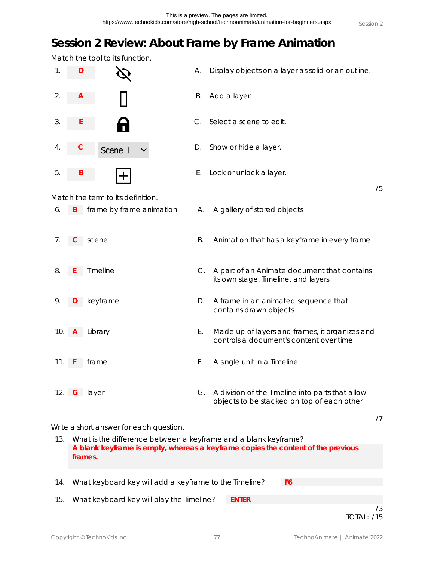## **Session 2 Review: About Frame by Frame Animation**

Match the tool to its function.

|     |              | tool to its rarrottori.                                         |    |                                                                                                |    |
|-----|--------------|-----------------------------------------------------------------|----|------------------------------------------------------------------------------------------------|----|
| 1.  | D            |                                                                 | А. | Display objects on a layer as solid or an outline.                                             |    |
| 2.  | A            |                                                                 | В. | Add a layer.                                                                                   |    |
| 3.  |              |                                                                 | С. | Select a scene to edit.                                                                        |    |
| 4.  |              | Scene 1                                                         | D. | Show or hide a layer.                                                                          |    |
| 5.  | Β            |                                                                 | Ε. | Lock or unlock a layer.                                                                        |    |
|     |              | Match the term to its definition.                               |    |                                                                                                | /5 |
| 6.  | B            | frame by frame animation                                        | А. | A gallery of stored objects                                                                    |    |
| 7.  | C            | scene                                                           | Β. | Animation that has a keyframe in every frame                                                   |    |
| 8.  |              | Timeline                                                        | C. | A part of an Animate document that contains<br>its own stage, Timeline, and layers             |    |
| 9.  |              | keyframe                                                        | D. | A frame in an animated sequence that<br>contains drawn objects                                 |    |
| 10. | $\mathsf{A}$ | Library                                                         | Ε. | Made up of layers and frames, it organizes and<br>controls a document's content over time      |    |
| 11. |              | frame                                                           | F. | A single unit in a Timeline                                                                    |    |
|     |              | 12. G layer                                                     | G. | A division of the Timeline into parts that allow<br>objects to be stacked on top of each other |    |
|     |              | Write a short answer for each question.                         |    |                                                                                                | /7 |
| 13. |              | What is the difference between a keyframe and a blank keyframe? |    |                                                                                                |    |
|     |              | frames.                                                         |    | A blank keyframe is empty, whereas a keyframe copies the content of the previous               |    |

14. What keyboard key will add a keyframe to the Timeline? **F6** 15. What keyboard key will play the Timeline? **ENTER**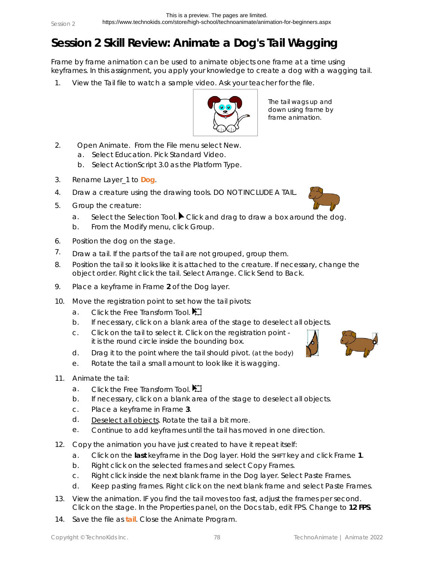## **Session 2 Skill Review: Animate a Dog's Tail Wagging**

Frame by frame animation can be used to animate objects one frame at a time using keyframes. In this assignment, you apply your knowledge to create a dog with a wagging tail.

1. View the *Tail* file to watch a sample video. *Ask your teacher for the file.*



The tail wags up and down using frame by frame animation.

- 2. Open Animate. From the File menu select *New*.
	- a. Select *Education*. Pick *Standard Video*.
	- b. Select *ActionScript 3.0* as the Platform Type.
- 3. Rename Layer\_1 to **Dog**.
- 4. Draw a creature using the drawing tools. DO NOT INCLUDE A TAIL.
- 5. Group the creature:
	- a. Select the Selection Tool. Click and drag to draw a box around the dog.
	- b. From the Modify menu, click *Group*.
- 6. Position the dog on the stage.
- $7.$  Draw a tail. If the parts of the tail are not grouped, group them.
- 8. Position the tail so it looks like it is attached to the creature. If necessary, change the object order. Right click the tail. Select *Arrange*. Click *Send to Back*.
- 9. Place a keyframe in Frame **2** of the Dog layer.
- 10. Move the registration point to set how the tail pivots:
	- a. Click the *Free Transform Tool*.
	- b. If necessary, click on a blank area of the stage to deselect all objects.
	- c. Click on the tail to select it. Click on the registration point it is the round circle inside the bounding box.
	- d. Drag it to the point where the tail should pivot. (at the body)
	- e. Rotate the tail a small amount to look like it is wagging.
- 11. Animate the tail:
	- a. Click the *Free Transform Tool*.
	- b. If necessary, click on a blank area of the stage to deselect all objects.
	- c. Place a keyframe in Frame **3**.
	- d. Deselect all objects. Rotate the tail a bit more.
	- e. Continue to add keyframes until the tail has moved in one direction.
- 12. Copy the animation you have just created to have it repeat itself:
	- a. Click on the **last** keyframe in the Dog layer. Hold the SHIFT key and click Frame **1**.
	- b. Right click on the selected frames and select *Copy Frames*.
	- c. Right click inside the next blank frame in the Dog layer. Select *Paste Frames*.
	- d. Keep pasting frames. Right click on the next blank frame and select *Paste Frames*.
- 13. View the animation. IF you find the tail moves too fast, adjust the frames per second. Click on the stage. In the Properties panel, on the Docs tab, edit FPS. Change to **12 FPS**.
- 14. Save the file as **tail**. Close the Animate Program.



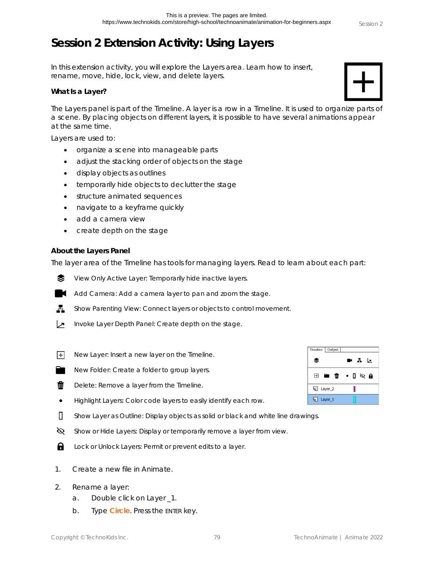# **Session 2 Extension Activity: Using Layers**

In this extension activity, you will explore the Layers area. Learn how to insert, rename, move, hide, lock, view, and delete layers.

**What Is a Layer?**

The Layers panel is part of the Timeline. A layer is a row in a Timeline. It is used to organize parts of a scene. By placing objects on different layers, it is possible to have several animations appear at the same time.

Layers are used to:

- organize a scene into manageable parts
- adjust the stacking order of objects on the stage
- display objects as outlines
- temporarily hide objects to declutter the stage
- structure animated sequences
- navigate to a keyframe quickly
- add a camera view
- create depth on the stage

### **About the Layers Panel**

The layer area of the Timeline has tools for managing layers. Read to learn about each part:

*View Only Active Layer*: Temporarily hide inactive layers. ≅

- *Add Camera*: Add a camera layer to pan and zoom the stage.
- Ā. *Show Parenting View:* Connect layers or objects to control movement.
- *Invoke Layer Depth Panel*: Create depth on the stage. ↗
- FFI. *New Layer*: Insert a new layer on the Timeline.
	- *New Folder*: Create a folder to group layers.
- W *Delete*: Remove a layer from the Timeline.
- $\bullet$ *Highlight Layers*: Color code layers to easily identify each row.
- $\mathsf{\Pi}$ *Show Layer as Outline*: Display objects as solid or black and white line drawings.
- Ø *Show or Hide Layers*: Display or temporarily remove a layer from view.
- А *Lock or Unlock Layers*: Permit or prevent edits to a layer.
- 1. Create a new file in Animate.
- 2. Rename a layer:
	- a. Double click on Layer \_1.
	- b. Type **Circle**. Press the ENTER key.